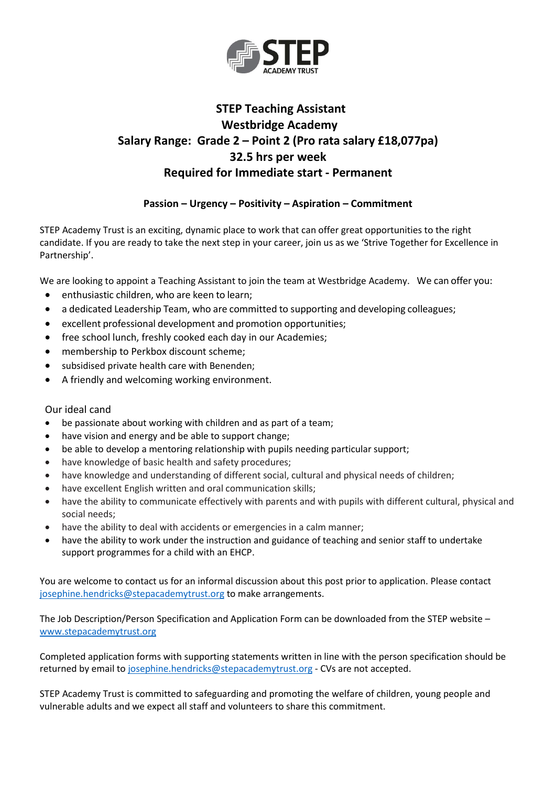

## **STEP Teaching Assistant Westbridge Academy Salary Range: Grade 2 – Point 2 (Pro rata salary £18,077pa) 32.5 hrs per week Required for Immediate start - Permanent**

## **Passion – Urgency – Positivity – Aspiration – Commitment**

STEP Academy Trust is an exciting, dynamic place to work that can offer great opportunities to the right candidate. If you are ready to take the next step in your career, join us as we 'Strive Together for Excellence in Partnership'.

We are looking to appoint a Teaching Assistant to join the team at Westbridge Academy. We can offer you:

- enthusiastic children, who are keen to learn;
- a dedicated Leadership Team, who are committed to supporting and developing colleagues;
- excellent professional development and promotion opportunities;
- free school lunch, freshly cooked each day in our Academies;
- membership to Perkbox discount scheme;
- subsidised private health care with Benenden;
- A friendly and welcoming working environment.

## Our ideal cand

- be passionate about working with children and as part of a team;
- have vision and energy and be able to support change;
- be able to develop a mentoring relationship with pupils needing particular support;
- have knowledge of basic health and safety procedures;
- have knowledge and understanding of different social, cultural and physical needs of children;
- have excellent English written and oral communication skills;
- have the ability to communicate effectively with parents and with pupils with different cultural, physical and social needs;
- have the ability to deal with accidents or emergencies in a calm manner;
- have the ability to work under the instruction and guidance of teaching and senior staff to undertake support programmes for a child with an EHCP.

You are welcome to contact us for an informal discussion about this post prior to application. Please contact [josephine.hendricks@stepacademytrust.org](mailto:josephine.hendricks@stepacademytrust.org) to make arrangements.

The Job Description/Person Specification and Application Form can be downloaded from the STEP website – [www.stepacademytrust.org](http://www.stepacademytrust.org/) 

Completed application forms with supporting statements written in line with the person specification should be returned by email to [josephine.hendricks@stepacademytrust.org](mailto:josephine.hendricks@stepacademytrust.org) - CVs are not accepted.

STEP Academy Trust is committed to safeguarding and promoting the welfare of children, young people and vulnerable adults and we expect all staff and volunteers to share this commitment.